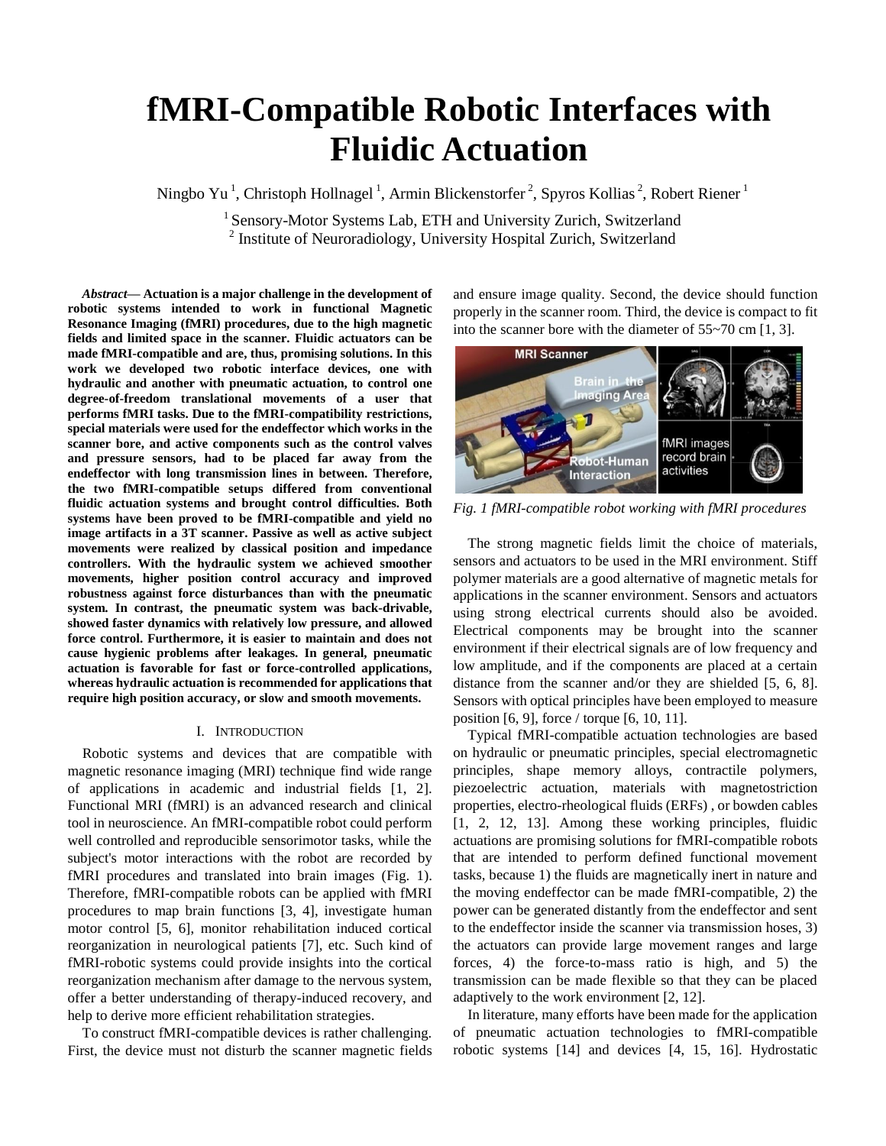# **fMRI-Compatible Robotic Interfaces with Fluidic Actuation**

Ningbo Yu<sup>1</sup>, Christoph Hollnagel<sup>1</sup>, Armin Blickenstorfer<sup>2</sup>, Spyros Kollias<sup>2</sup>, Robert Riener<sup>1</sup>

<sup>1</sup> Sensory-Motor Systems Lab, ETH and University Zurich, Switzerland <sup>2</sup> Institute of Neuroradiology, University Hospital Zurich, Switzerland

*Abstract***— Actuation is a major challenge in the development of robotic systems intended to work in functional Magnetic Resonance Imaging (fMRI) procedures, due to the high magnetic fields and limited space in the scanner. Fluidic actuators can be made fMRI-compatible and are, thus, promising solutions. In this work we developed two robotic interface devices, one with hydraulic and another with pneumatic actuation, to control one degree-of-freedom translational movements of a user that performs fMRI tasks. Due to the fMRI-compatibility restrictions, special materials were used for the endeffector which works in the scanner bore, and active components such as the control valves and pressure sensors, had to be placed far away from the endeffector with long transmission lines in between. Therefore, the two fMRI-compatible setups differed from conventional fluidic actuation systems and brought control difficulties. Both systems have been proved to be fMRI-compatible and yield no image artifacts in a 3T scanner. Passive as well as active subject movements were realized by classical position and impedance controllers. With the hydraulic system we achieved smoother movements, higher position control accuracy and improved robustness against force disturbances than with the pneumatic system. In contrast, the pneumatic system was back-drivable, showed faster dynamics with relatively low pressure, and allowed force control. Furthermore, it is easier to maintain and does not cause hygienic problems after leakages. In general, pneumatic actuation is favorable for fast or force-controlled applications, whereas hydraulic actuation is recommended for applications that require high position accuracy, or slow and smooth movements.**

#### I. INTRODUCTION

Robotic systems and devices that are compatible with magnetic resonance imaging (MRI) technique find wide range of applications in academic and industrial fields [1, 2]. Functional MRI (fMRI) is an advanced research and clinical tool in neuroscience. An fMRI-compatible robot could perform well controlled and reproducible sensorimotor tasks, while the subject's motor interactions with the robot are recorded by fMRI procedures and translated into brain images [\(Fig. 1\)](#page-0-0). Therefore, fMRI-compatible robots can be applied with fMRI procedures to map brain functions [3, 4], investigate human motor control [5, 6], monitor rehabilitation induced cortical reorganization in neurological patients [7], etc. Such kind of fMRI-robotic systems could provide insights into the cortical reorganization mechanism after damage to the nervous system, offer a better understanding of therapy-induced recovery, and help to derive more efficient rehabilitation strategies.

To construct fMRI-compatible devices is rather challenging. First, the device must not disturb the scanner magnetic fields and ensure image quality. Second, the device should function properly in the scanner room. Third, the device is compact to fit into the scanner bore with the diameter of 55~70 cm [1, 3].



*Fig. 1 fMRI-compatible robot working with fMRI procedures*

<span id="page-0-0"></span>The strong magnetic fields limit the choice of materials, sensors and actuators to be used in the MRI environment. Stiff polymer materials are a good alternative of magnetic metals for applications in the scanner environment. Sensors and actuators using strong electrical currents should also be avoided. Electrical components may be brought into the scanner environment if their electrical signals are of low frequency and low amplitude, and if the components are placed at a certain distance from the scanner and/or they are shielded [5, 6, 8]. Sensors with optical principles have been employed to measure position [6, 9], force / torque [6, 10, 11].

Typical fMRI-compatible actuation technologies are based on hydraulic or pneumatic principles, special electromagnetic principles, shape memory alloys, contractile polymers, piezoelectric actuation, materials with magnetostriction properties, electro-rheological fluids (ERFs) , or bowden cables [1, 2, 12, 13]. Among these working principles, fluidic actuations are promising solutions for fMRI-compatible robots that are intended to perform defined functional movement tasks, because 1) the fluids are magnetically inert in nature and the moving endeffector can be made fMRI-compatible, 2) the power can be generated distantly from the endeffector and sent to the endeffector inside the scanner via transmission hoses, 3) the actuators can provide large movement ranges and large forces, 4) the force-to-mass ratio is high, and 5) the transmission can be made flexible so that they can be placed adaptively to the work environment [2, 12].

In literature, many efforts have been made for the application of pneumatic actuation technologies to fMRI-compatible robotic systems [14] and devices [4, 15, 16]. Hydrostatic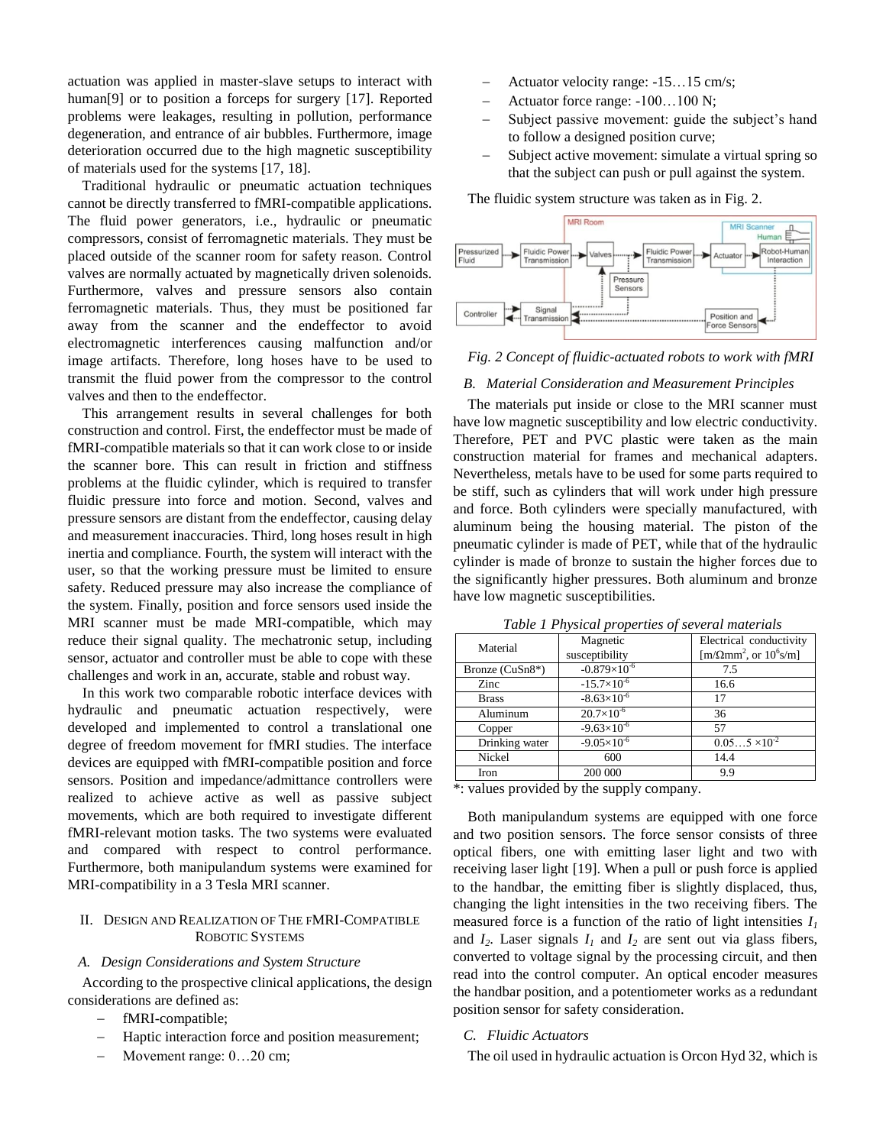actuation was applied in master-slave setups to interact with human<sup>[9]</sup> or to position a forceps for surgery [17]. Reported problems were leakages, resulting in pollution, performance degeneration, and entrance of air bubbles. Furthermore, image deterioration occurred due to the high magnetic susceptibility of materials used for the systems [17, 18].

Traditional hydraulic or pneumatic actuation techniques cannot be directly transferred to fMRI-compatible applications. The fluid power generators, i.e., hydraulic or pneumatic compressors, consist of ferromagnetic materials. They must be placed outside of the scanner room for safety reason. Control valves are normally actuated by magnetically driven solenoids. Furthermore, valves and pressure sensors also contain ferromagnetic materials. Thus, they must be positioned far away from the scanner and the endeffector to avoid electromagnetic interferences causing malfunction and/or image artifacts. Therefore, long hoses have to be used to transmit the fluid power from the compressor to the control valves and then to the endeffector.

This arrangement results in several challenges for both construction and control. First, the endeffector must be made of fMRI-compatible materials so that it can work close to or inside the scanner bore. This can result in friction and stiffness problems at the fluidic cylinder, which is required to transfer fluidic pressure into force and motion. Second, valves and pressure sensors are distant from the endeffector, causing delay and measurement inaccuracies. Third, long hoses result in high inertia and compliance. Fourth, the system will interact with the user, so that the working pressure must be limited to ensure safety. Reduced pressure may also increase the compliance of the system. Finally, position and force sensors used inside the MRI scanner must be made MRI-compatible, which may reduce their signal quality. The mechatronic setup, including sensor, actuator and controller must be able to cope with these challenges and work in an, accurate, stable and robust way.

In this work two comparable robotic interface devices with hydraulic and pneumatic actuation respectively, were developed and implemented to control a translational one degree of freedom movement for fMRI studies. The interface devices are equipped with fMRI-compatible position and force sensors. Position and impedance/admittance controllers were realized to achieve active as well as passive subject movements, which are both required to investigate different fMRI-relevant motion tasks. The two systems were evaluated and compared with respect to control performance. Furthermore, both manipulandum systems were examined for MRI-compatibility in a 3 Tesla MRI scanner.

## II. DESIGN AND REALIZATION OF THE FMRI-COMPATIBLE ROBOTIC SYSTEMS

## *A. Design Considerations and System Structure*

According to the prospective clinical applications, the design considerations are defined as:

- fMRI-compatible;
- Haptic interaction force and position measurement;
- Movement range: 0…20 cm;
- Actuator velocity range: -15…15 cm/s;
- Actuator force range: -100...100 N;
- Subject passive movement: guide the subject's hand to follow a designed position curve;
- Subject active movement: simulate a virtual spring so that the subject can push or pull against the system.

The fluidic system structure was taken as in [Fig. 2.](#page-1-0)



<span id="page-1-0"></span>*Fig. 2 Concept of fluidic-actuated robots to work with fMRI*

## *B. Material Consideration and Measurement Principles*

The materials put inside or close to the MRI scanner must have low magnetic susceptibility and low electric conductivity. Therefore, PET and PVC plastic were taken as the main construction material for frames and mechanical adapters. Nevertheless, metals have to be used for some parts required to be stiff, such as cylinders that will work under high pressure and force. Both cylinders were specially manufactured, with aluminum being the housing material. The piston of the pneumatic cylinder is made of PET, while that of the hydraulic cylinder is made of bronze to sustain the higher forces due to the significantly higher pressures. Both aluminum and bronze have low magnetic susceptibilities.

*Table 1 Physical properties of several materials*

| Material          | Magnetic               | Electrical conductivity                       |
|-------------------|------------------------|-----------------------------------------------|
|                   | susceptibility         | [m/ $\Omega$ mm <sup>2</sup> , or $10^6$ s/m] |
| Bronze $(CuSn8*)$ | $-0.879\times10^{-6}$  | 7.5                                           |
| Zinc              | $-15.7\times10^{-6}$   | 16.6                                          |
| <b>Brass</b>      | $-8.63\times10^{-6}$   | 17                                            |
| Aluminum          | $20.7\times10^{-6}$    | 36                                            |
| Copper            | $-9.63\times10^{-6}$   | 57                                            |
| Drinking water    | $-9.05 \times 10^{-6}$ | $0.055 \times 10^{-2}$                        |
| Nickel            | 600                    | 14.4                                          |
| Iron              | 200 000                | 9.9                                           |

\*: values provided by the supply company.

Both manipulandum systems are equipped with one force and two position sensors. The force sensor consists of three optical fibers, one with emitting laser light and two with receiving laser light [19]. When a pull or push force is applied to the handbar, the emitting fiber is slightly displaced, thus, changing the light intensities in the two receiving fibers. The measured force is a function of the ratio of light intensities  $I_I$ and  $I_2$ . Laser signals  $I_1$  and  $I_2$  are sent out via glass fibers, converted to voltage signal by the processing circuit, and then read into the control computer. An optical encoder measures the handbar position, and a potentiometer works as a redundant position sensor for safety consideration.

# *C. Fluidic Actuators*

The oil used in hydraulic actuation is Orcon Hyd 32, which is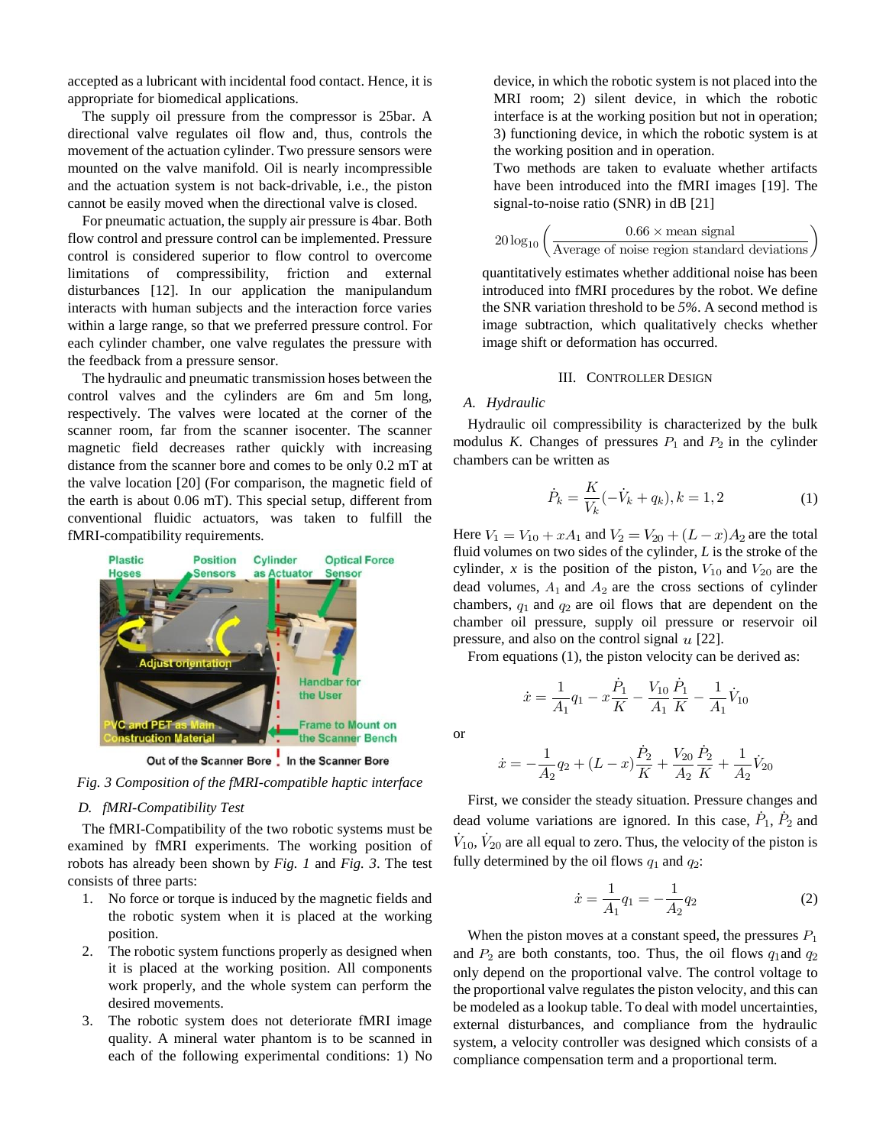accepted as a lubricant with incidental food contact. Hence, it is appropriate for biomedical applications.

The supply oil pressure from the compressor is 25bar. A directional valve regulates oil flow and, thus, controls the movement of the actuation cylinder. Two pressure sensors were mounted on the valve manifold. Oil is nearly incompressible and the actuation system is not back-drivable, i.e., the piston cannot be easily moved when the directional valve is closed.

For pneumatic actuation, the supply air pressure is 4bar. Both flow control and pressure control can be implemented. Pressure control is considered superior to flow control to overcome limitations of compressibility, friction and external disturbances [12]. In our application the manipulandum interacts with human subjects and the interaction force varies within a large range, so that we preferred pressure control. For each cylinder chamber, one valve regulates the pressure with the feedback from a pressure sensor.

The hydraulic and pneumatic transmission hoses between the control valves and the cylinders are 6m and 5m long, respectively. The valves were located at the corner of the scanner room, far from the scanner isocenter. The scanner magnetic field decreases rather quickly with increasing distance from the scanner bore and comes to be only 0.2 mT at the valve location [20] (For comparison, the magnetic field of the earth is about 0.06 mT). This special setup, different from conventional fluidic actuators, was taken to fulfill the fMRI-compatibility requirements.





<span id="page-2-0"></span>*Fig. 3 Composition of the fMRI-compatible haptic interface*

### *D. fMRI-Compatibility Test*

The fMRI-Compatibility of the two robotic systems must be examined by fMRI experiments. The working position of robots has already been shown by *[Fig. 1](#page-0-0)* and *[Fig. 3](#page-2-0)*. The test consists of three parts:

- 1. No force or torque is induced by the magnetic fields and the robotic system when it is placed at the working position.
- 2. The robotic system functions properly as designed when it is placed at the working position. All components work properly, and the whole system can perform the desired movements.
- 3. The robotic system does not deteriorate fMRI image quality. A mineral water phantom is to be scanned in each of the following experimental conditions: 1) No

device, in which the robotic system is not placed into the MRI room; 2) silent device, in which the robotic interface is at the working position but not in operation; 3) functioning device, in which the robotic system is at the working position and in operation.

Two methods are taken to evaluate whether artifacts have been introduced into the fMRI images [19]. The signal-to-noise ratio (SNR) in dB [21]

$$
20\log_{10}\left(\frac{0.66 \times \text{mean signal}}{\text{Average of noise region standard deviations}}\right)
$$

quantitatively estimates whether additional noise has been introduced into fMRI procedures by the robot. We define the SNR variation threshold to be *5%*. A second method is image subtraction, which qualitatively checks whether image shift or deformation has occurred.

#### III. CONTROLLER DESIGN

# *A. Hydraulic*

Hydraulic oil compressibility is characterized by the bulk modulus *K*. Changes of pressures  $P_1$  and  $P_2$  in the cylinder chambers can be written as

$$
\dot{P}_k = \frac{K}{V_k}(-\dot{V}_k + q_k), k = 1, 2
$$
\n(1)

Here  $V_1 = V_{10} + xA_1$  and  $V_2 = V_{20} + (L - x)A_2$  are the total fluid volumes on two sides of the cylinder, *L* is the stroke of the cylinder, x is the position of the piston,  $V_{10}$  and  $V_{20}$  are the dead volumes,  $A_1$  and  $A_2$  are the cross sections of cylinder chambers,  $q_1$  and  $q_2$  are oil flows that are dependent on the chamber oil pressure, supply oil pressure or reservoir oil pressure, and also on the control signal *u* [22].

From equations (1), the piston velocity can be derived as:

$$
\dot{x}=\frac{1}{A_1}q_1-x\frac{\dot{P}_1}{K}-\frac{V_{10}}{A_1}\frac{\dot{P}_1}{K}-\frac{1}{A_1}\dot{V}_{10}
$$

or

$$
\dot{x} = -\frac{1}{A_2}q_2 + (L-x)\frac{\dot{P}_2}{K} + \frac{V_{20}}{A_2}\frac{\dot{P}_2}{K} + \frac{1}{A_2}\dot{V}_{20}
$$

First, we consider the steady situation. Pressure changes and dead volume variations are ignored. In this case,  $\dot{P}_1$ ,  $\dot{P}_2$  and  $\dot{V}_{10}$ ,  $\dot{V}_{20}$  are all equal to zero. Thus, the velocity of the piston is fully determined by the oil flows  $q_1$  and  $q_2$ :

$$
\dot{x} = \frac{1}{A_1}q_1 = -\frac{1}{A_2}q_2\tag{2}
$$

When the piston moves at a constant speed, the pressures *P*<sup>1</sup> and  $P_2$  are both constants, too. Thus, the oil flows  $q_1$  and  $q_2$ only depend on the proportional valve. The control voltage to the proportional valve regulates the piston velocity, and this can be modeled as a lookup table. To deal with model uncertainties, external disturbances, and compliance from the hydraulic system, a velocity controller was designed which consists of a compliance compensation term and a proportional term.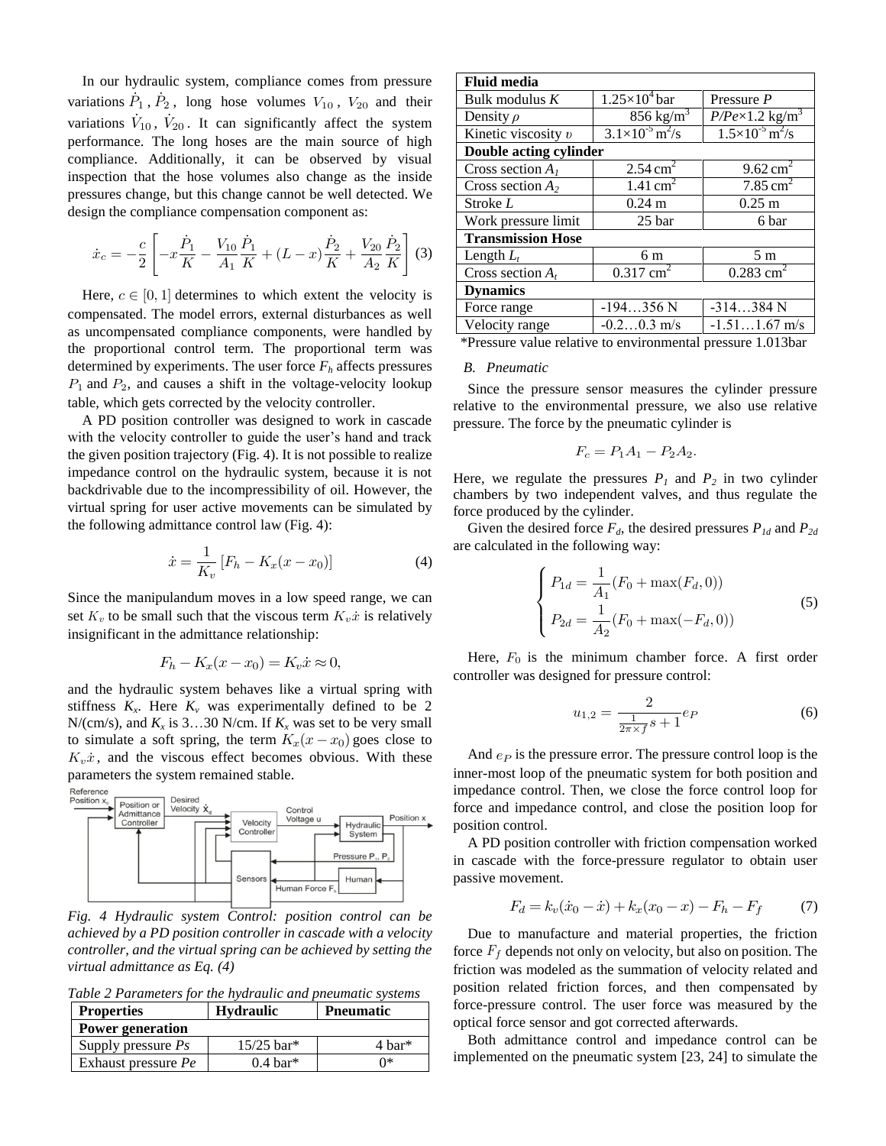In our hydraulic system, compliance comes from pressure variations  $\dot{P}_1$ ,  $\dot{P}_2$ , long hose volumes  $V_{10}$ ,  $V_{20}$  and their variations  $\dot{V}_{10}$ ,  $\dot{V}_{20}$ . It can significantly affect the system performance. The long hoses are the main source of high compliance. Additionally, it can be observed by visual inspection that the hose volumes also change as the inside pressures change, but this change cannot be well detected. We design the compliance compensation component as:

$$
\dot{x}_c = -\frac{c}{2} \left[ -x\frac{\dot{P}_1}{K} - \frac{V_{10}}{A_1}\frac{\dot{P}_1}{K} + (L-x)\frac{\dot{P}_2}{K} + \frac{V_{20}}{A_2}\frac{\dot{P}_2}{K} \right] (3)
$$

Here,  $c \in [0, 1]$  determines to which extent the velocity is compensated. The model errors, external disturbances as well as uncompensated compliance components, were handled by the proportional control term. The proportional term was determined by experiments. The user force  $F_h$  affects pressures *P*<sup>1</sup> and *P*2 , and causes a shift in the voltage-velocity lookup table, which gets corrected by the velocity controller.

A PD position controller was designed to work in cascade with the velocity controller to guide the user's hand and track the given position trajectory [\(Fig. 4\)](#page-3-0). It is not possible to realize impedance control on the hydraulic system, because it is not backdrivable due to the incompressibility of oil. However, the virtual spring for user active movements can be simulated by the following admittance control law [\(Fig. 4\)](#page-3-0):

$$
\dot{x} = \frac{1}{K_v} \left[ F_h - K_x(x - x_0) \right] \tag{4}
$$

Since the manipulandum moves in a low speed range, we can set  $K_v$  to be small such that the viscous term  $K_v\dot{x}$  is relatively insignificant in the admittance relationship:

$$
F_h - K_x(x - x_0) = K_v \dot{x} \approx 0,
$$

and the hydraulic system behaves like a virtual spring with stiffness  $K_x$ . Here  $K_y$  was experimentally defined to be 2 N/(cm/s), and  $K_x$  is 3...30 N/cm. If  $K_x$  was set to be very small to simulate a soft spring, the term  $K_x(x - x_0)$  goes close to  $K_v \dot{x}$ , and the viscous effect becomes obvious. With these parameters the system remained stable.



<span id="page-3-0"></span>*Fig. 4 Hydraulic system Control: position control can be achieved by a PD position controller in cascade with a velocity controller, and the virtual spring can be achieved by setting the virtual admittance as Eq. (4)*

*Table 2 Parameters for the hydraulic and pneumatic systems* 

| <b>Properties</b>    | <b>Hydraulic</b>    | <b>P</b> neumatic |  |  |
|----------------------|---------------------|-------------------|--|--|
| Power generation     |                     |                   |  |  |
| Supply pressure $Ps$ | $15/25$ bar*        | 4 bar*            |  |  |
| Exhaust pressure Pe  | $0.4 \text{ bar}^*$ | ∩∗                |  |  |

| <b>Fluid media</b>       |                                      |                                        |  |  |  |
|--------------------------|--------------------------------------|----------------------------------------|--|--|--|
| Bulk modulus $K$         | $1.25\times10^4$ bar                 | Pressure $P$                           |  |  |  |
| Density $\rho$           | $856 \text{ kg/m}^3$                 | $P/Pe \times 1.2$ kg/m <sup>3</sup>    |  |  |  |
| Kinetic viscosity $v$    | $3.1\times10^{-5}$ m <sup>2</sup> /s | $1.5 \times 10^{-5}$ m <sup>2</sup> /s |  |  |  |
| Double acting cylinder   |                                      |                                        |  |  |  |
| Cross section $Al$       | $2.54 \text{ cm}^2$                  | 9.62 cm <sup>2</sup>                   |  |  |  |
| Cross section $A_2$      | $1.41 \text{ cm}^2$                  | $7.85 \text{ cm}^2$                    |  |  |  |
| Stroke L                 | $0.24 \text{ m}$                     | $0.25$ m                               |  |  |  |
| Work pressure limit      | 25 <sub>bar</sub>                    | 6 bar                                  |  |  |  |
| <b>Transmission Hose</b> |                                      |                                        |  |  |  |
| Length $L_t$             | 6 <sub>m</sub>                       | 5m                                     |  |  |  |
| Cross section $A_t$      | $0.317$ cm <sup>2</sup>              | $0.283$ cm <sup>2</sup>                |  |  |  |
| <b>Dynamics</b>          |                                      |                                        |  |  |  |
| Force range              | $-194356$ N                          | $-314384$ N                            |  |  |  |
| Velocity range           | $-0.20.3$ m/s                        | $-1.511.67$ m/s                        |  |  |  |

\*Pressure value relative to environmental pressure 1.013bar

## *B. Pneumatic*

Since the pressure sensor measures the cylinder pressure relative to the environmental pressure, we also use relative pressure. The force by the pneumatic cylinder is

$$
F_c = P_1 A_1 - P_2 A_2.
$$

Here, we regulate the pressures  $P_1$  and  $P_2$  in two cylinder chambers by two independent valves, and thus regulate the force produced by the cylinder.

Given the desired force  $F_d$ , the desired pressures  $P_{1d}$  and  $P_{2d}$ are calculated in the following way:

$$
\begin{cases}\nP_{1d} = \frac{1}{A_1}(F_0 + \max(F_d, 0)) \\
P_{2d} = \frac{1}{A_2}(F_0 + \max(-F_d, 0))\n\end{cases}
$$
\n(5)

Here,  $F_0$  is the minimum chamber force. A first order controller was designed for pressure control:

$$
u_{1,2} = \frac{2}{\frac{1}{2\pi \times f} s + 1} e_P \tag{6}
$$

And *eP* is the pressure error. The pressure control loop is the inner-most loop of the pneumatic system for both position and impedance control. Then, we close the force control loop for force and impedance control, and close the position loop for position control.

A PD position controller with friction compensation worked in cascade with the force-pressure regulator to obtain user passive movement.

$$
F_d = k_v(\dot{x}_0 - \dot{x}) + k_x(x_0 - x) - F_h - F_f \tag{7}
$$

Due to manufacture and material properties, the friction force *Ff* depends not only on velocity, but also on position. The friction was modeled as the summation of velocity related and position related friction forces, and then compensated by force-pressure control. The user force was measured by the optical force sensor and got corrected afterwards.

Both admittance control and impedance control can be implemented on the pneumatic system [23, 24] to simulate the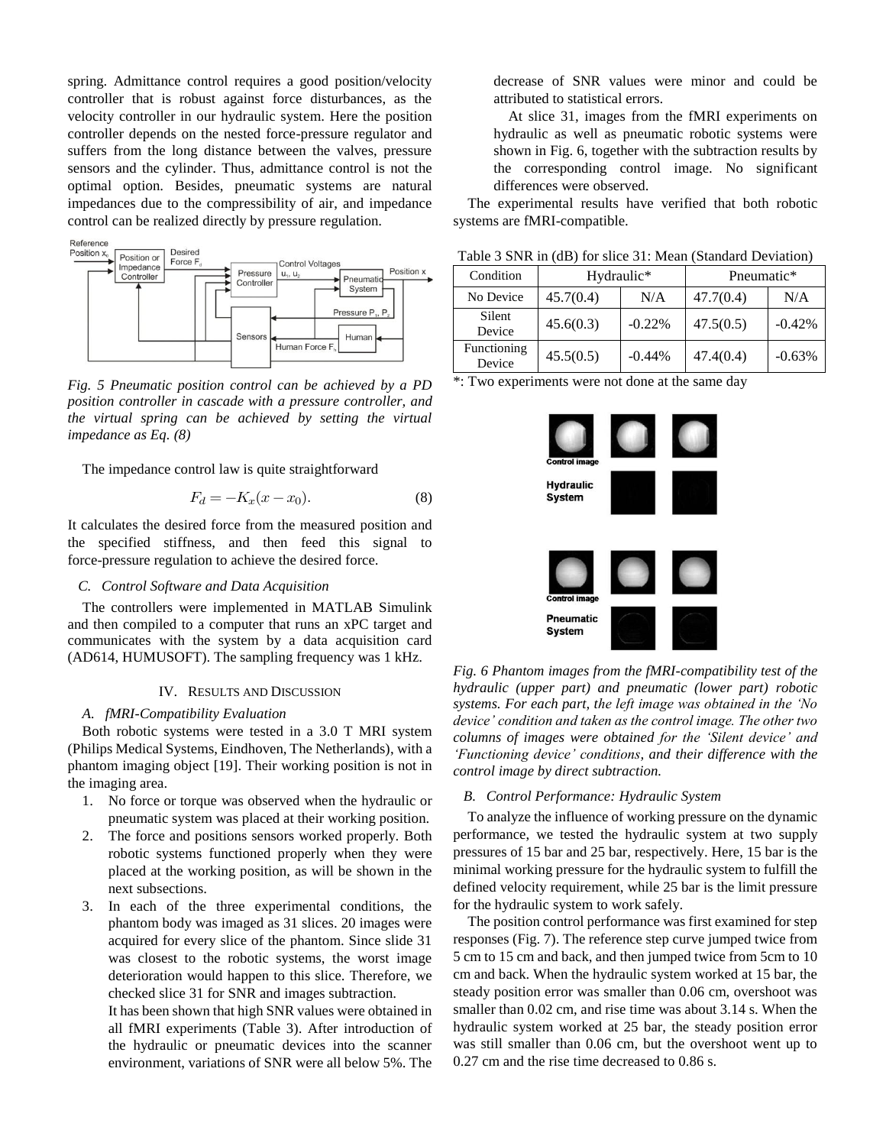spring. Admittance control requires a good position/velocity controller that is robust against force disturbances, as the velocity controller in our hydraulic system. Here the position controller depends on the nested force-pressure regulator and suffers from the long distance between the valves, pressure sensors and the cylinder. Thus, admittance control is not the optimal option. Besides, pneumatic systems are natural impedances due to the compressibility of air, and impedance control can be realized directly by pressure regulation.



*Fig. 5 Pneumatic position control can be achieved by a PD position controller in cascade with a pressure controller, and the virtual spring can be achieved by setting the virtual impedance as Eq. (8)*

The impedance control law is quite straightforward

$$
F_d = -K_x(x - x_0). \tag{8}
$$

It calculates the desired force from the measured position and the specified stiffness, and then feed this signal to force-pressure regulation to achieve the desired force.

#### *C. Control Software and Data Acquisition*

The controllers were implemented in MATLAB Simulink and then compiled to a computer that runs an xPC target and communicates with the system by a data acquisition card (AD614, HUMUSOFT). The sampling frequency was 1 kHz.

## IV. RESULTS AND DISCUSSION

# *A. fMRI-Compatibility Evaluation*

Both robotic systems were tested in a 3.0 T MRI system (Philips Medical Systems, Eindhoven, The Netherlands), with a phantom imaging object [19]. Their working position is not in the imaging area.

- 1. No force or torque was observed when the hydraulic or pneumatic system was placed at their working position.
- 2. The force and positions sensors worked properly. Both robotic systems functioned properly when they were placed at the working position, as will be shown in the next subsections.
- 3. In each of the three experimental conditions, the phantom body was imaged as 31 slices. 20 images were acquired for every slice of the phantom. Since slide 31 was closest to the robotic systems, the worst image deterioration would happen to this slice. Therefore, we checked slice 31 for SNR and images subtraction.

It has been shown that high SNR values were obtained in all fMRI experiments [\(Table 3\)](#page-4-0). After introduction of the hydraulic or pneumatic devices into the scanner environment, variations of SNR were all below 5%. The

decrease of SNR values were minor and could be attributed to statistical errors.

At slice 31, images from the fMRI experiments on hydraulic as well as pneumatic robotic systems were shown in [Fig. 6,](#page-4-1) together with the subtraction results by the corresponding control image. No significant differences were observed.

The experimental results have verified that both robotic systems are fMRI-compatible.

<span id="page-4-0"></span>Table 3 SNR in (dB) for slice 31: Mean (Standard Deviation)

| Condition             | Hydraulic* |          | Pneumatic* |           |
|-----------------------|------------|----------|------------|-----------|
| No Device             | 45.7(0.4)  | N/A      | 47.7(0.4)  | N/A       |
| Silent<br>Device      | 45.6(0.3)  | $-0.22%$ | 47.5(0.5)  | $-0.42%$  |
| Functioning<br>Device | 45.5(0.5)  | $-0.44%$ | 47.4(0.4)  | $-0.63\%$ |

\*: Two experiments were not done at the same day



<span id="page-4-1"></span>*Fig. 6 Phantom images from the fMRI-compatibility test of the hydraulic (upper part) and pneumatic (lower part) robotic systems. For each part, the left image was obtained in the 'No device' condition and taken as the control image. The other two columns of images were obtained for the 'Silent device' and 'Functioning device' conditions, and their difference with the control image by direct subtraction.*

#### *B. Control Performance: Hydraulic System*

To analyze the influence of working pressure on the dynamic performance, we tested the hydraulic system at two supply pressures of 15 bar and 25 bar, respectively. Here, 15 bar is the minimal working pressure for the hydraulic system to fulfill the defined velocity requirement, while 25 bar is the limit pressure for the hydraulic system to work safely.

The position control performance was first examined for step responses [\(Fig. 7\)](#page-5-0). The reference step curve jumped twice from 5 cm to 15 cm and back, and then jumped twice from 5cm to 10 cm and back. When the hydraulic system worked at 15 bar, the steady position error was smaller than 0.06 cm, overshoot was smaller than 0.02 cm, and rise time was about 3.14 s. When the hydraulic system worked at 25 bar, the steady position error was still smaller than 0.06 cm, but the overshoot went up to 0.27 cm and the rise time decreased to 0.86 s.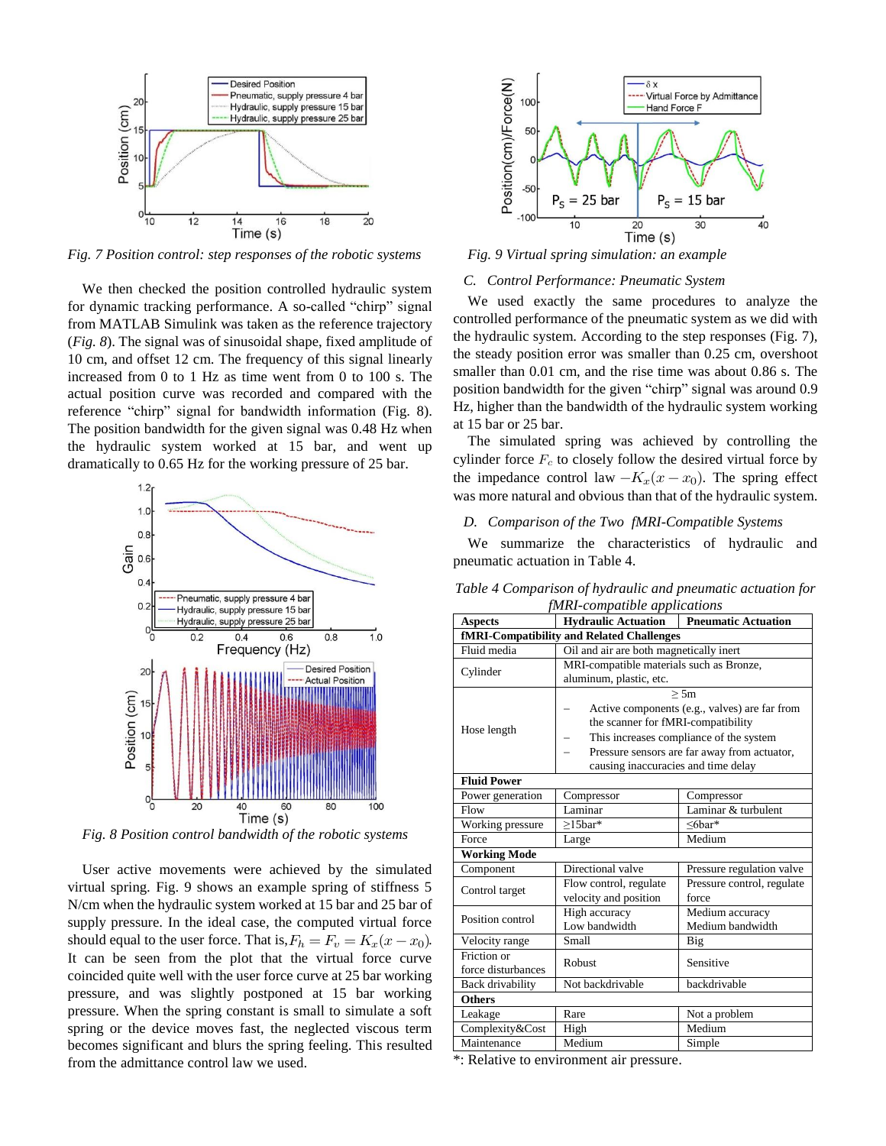

<span id="page-5-0"></span>*Fig. 7 Position control: step responses of the robotic systems*

We then checked the position controlled hydraulic system for dynamic tracking performance. A so-called "chirp" signal from MATLAB Simulink was taken as the reference trajectory (*[Fig. 8](#page-5-1)*). The signal was of sinusoidal shape, fixed amplitude of 10 cm, and offset 12 cm. The frequency of this signal linearly increased from 0 to 1 Hz as time went from 0 to 100 s. The actual position curve was recorded and compared with the reference "chirp" signal for bandwidth information [\(Fig. 8\)](#page-5-1). The position bandwidth for the given signal was 0.48 Hz when the hydraulic system worked at 15 bar, and went up dramatically to 0.65 Hz for the working pressure of 25 bar.



<span id="page-5-1"></span>*Fig. 8 Position control bandwidth of the robotic systems*

User active movements were achieved by the simulated virtual spring. [Fig. 9](#page-5-2) shows an example spring of stiffness 5 N/cm when the hydraulic system worked at 15 bar and 25 bar of supply pressure. In the ideal case, the computed virtual force should equal to the user force. That is,  $F_h = F_v = K_x(x - x_0)$ . It can be seen from the plot that the virtual force curve coincided quite well with the user force curve at 25 bar working pressure, and was slightly postponed at 15 bar working pressure. When the spring constant is small to simulate a soft spring or the device moves fast, the neglected viscous term becomes significant and blurs the spring feeling. This resulted from the admittance control law we used.



<span id="page-5-2"></span>*Fig. 9 Virtual spring simulation: an example*

## *C. Control Performance: Pneumatic System*

We used exactly the same procedures to analyze the controlled performance of the pneumatic system as we did with the hydraulic system. According to the step responses [\(Fig. 7\)](#page-5-0), the steady position error was smaller than 0.25 cm, overshoot smaller than 0.01 cm, and the rise time was about 0.86 s. The position bandwidth for the given "chirp" signal was around 0.9 Hz, higher than the bandwidth of the hydraulic system working at 15 bar or 25 bar.

The simulated spring was achieved by controlling the cylinder force  $F_c$  to closely follow the desired virtual force by the impedance control law  $-K_x(x-x_0)$ . The spring effect was more natural and obvious than that of the hydraulic system.

# *D. Comparison of the Two fMRI-Compatible Systems*

We summarize the characteristics of hydraulic and pneumatic actuation in [Table 4.](#page-5-3)

| јти сотранот аррисанопѕ |                                                  |                            |  |
|-------------------------|--------------------------------------------------|----------------------------|--|
| <b>Aspects</b>          | <b>Hydraulic Actuation</b>                       | <b>Pneumatic Actuation</b> |  |
|                         | <b>fMRI-Compatibility and Related Challenges</b> |                            |  |
| Fluid media             | Oil and air are both magnetically inert          |                            |  |
| Cylinder                | MRI-compatible materials such as Bronze,         |                            |  |
|                         | aluminum, plastic, etc.                          |                            |  |
|                         | > 5m                                             |                            |  |
|                         | Active components (e.g., valves) are far from    |                            |  |
| Hose length             | the scanner for fMRI-compatibility               |                            |  |
|                         | This increases compliance of the system          |                            |  |
|                         | Pressure sensors are far away from actuator,     |                            |  |
|                         | causing inaccuracies and time delay              |                            |  |
| <b>Fluid Power</b>      |                                                  |                            |  |
| Power generation        | Compressor                                       | Compressor                 |  |
| Flow                    | Laminar                                          | Laminar & turbulent        |  |
| Working pressure        | $>15$ bar*                                       | $<$ 6bar*                  |  |
| Force                   | Large                                            | Medium                     |  |
| <b>Working Mode</b>     |                                                  |                            |  |
| Component               | Directional valve                                | Pressure regulation valve  |  |
|                         | Flow control, regulate                           | Pressure control, regulate |  |
| Control target          | velocity and position                            | force                      |  |
| Position control        | High accuracy                                    | Medium accuracy            |  |
|                         | Low bandwidth                                    | Medium bandwidth           |  |
| Velocity range          | Small                                            | Big                        |  |
| Friction or             | Robust                                           | Sensitive                  |  |
| force disturbances      |                                                  |                            |  |
| Back drivability        | Not backdrivable                                 | backdrivable               |  |
| <b>Others</b>           |                                                  |                            |  |
| Leakage                 | Rare                                             | Not a problem              |  |
| Complexity&Cost         | High                                             | Medium                     |  |
| Maintenance             | Medium                                           | Simple                     |  |
|                         | $\ast$ . Relative to environment air pressure    |                            |  |

<span id="page-5-3"></span>*Table 4 Comparison of hydraulic and pneumatic actuation for fMRI-compatible applications*

: Relative to environment air pressure.